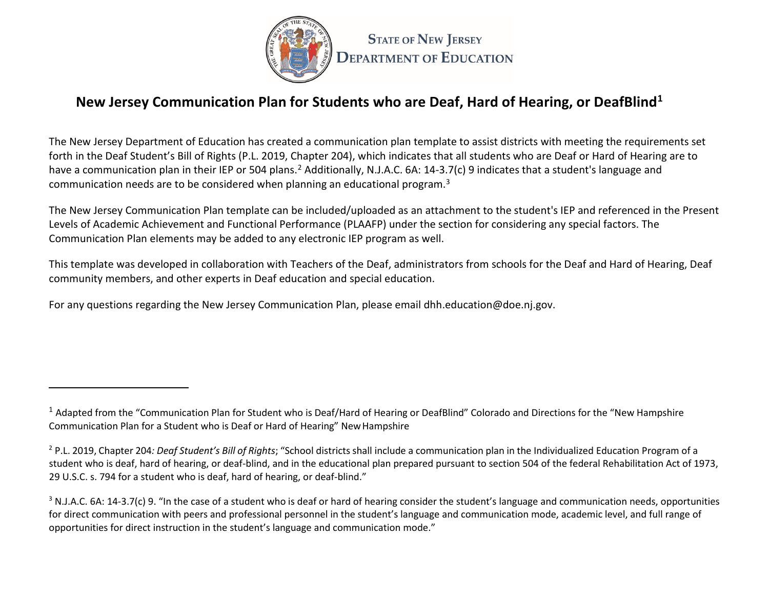

# **New Jersey Communication Plan for Students who are Deaf, Hard of Hearing, or DeafBlind1**

The New Jersey Department of Education has created a communication plan template to assist districts with meeting the requirements set forth in the Deaf Student's Bill of Rights (P.L. 2019, Chapter 204), which indicates that all students who are Deaf or Hard of Hearing are to have a communication plan in their IEP or 504 plans.<sup>2</sup> Additionally, N.J.A.C. 6A: 14-3.7(c) 9 indicates that a student's language and communication needs are to be considered when planning an educational program. $3$ 

The New Jersey Communication Plan template can be included/uploaded as an attachment to the student's IEP and referenced in the Present Levels of Academic Achievement and Functional Performance (PLAAFP) under the section for considering any special factors. The Communication Plan elements may be added to any electronic IEP program as well.

This template was developed in collaboration with Teachers of the Deaf, administrators from schools for the Deaf and Hard of Hearing, Deaf community members, and other experts in Deaf education and special education.

For any questions regarding the New Jersey Communication Plan, please email [dhh.education@doe.nj.gov.](mailto:dhh.education@doe.nj.gov)

 $1$  Adapted from the "Communication Plan for Student who is Deaf/Hard of Hearing or DeafBlind" Colorado and Directions for the "New Hampshire" Communication Plan for a Student who is Deaf or Hard of Hearing" NewHampshire

<sup>2</sup> P.L. 2019, Chapter 204*: Deaf Student's Bill of Rights*; "School districts shall include a communication plan in the Individualized Education Program of a student who is deaf, hard of hearing, or deaf-blind, and in the educational plan prepared pursuant to section 504 of the federal Rehabilitation Act of 1973, 29 U.S.C. s. 794 for a student who is deaf, hard of hearing, or deaf-blind."

 $3$  N.J.A.C. 6A: 14-3.7(c) 9. "In the case of a student who is deaf or hard of hearing consider the student's language and communication needs, opportunities for direct communication with peers and professional personnel in the student's language and communication mode, academic level, and full range of opportunities for direct instruction in the student's language and communication mode."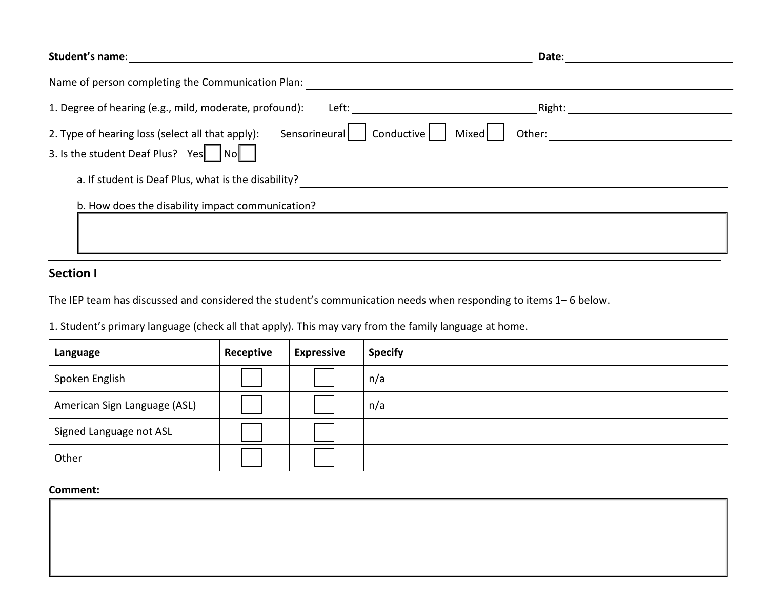| Student's name:                                                                 | Date:           |
|---------------------------------------------------------------------------------|-----------------|
| Name of person completing the Communication Plan:                               |                 |
| 1. Degree of hearing (e.g., mild, moderate, profound):<br>Left:                 | Right:          |
| Sensorineural<br>2. Type of hearing loss (select all that apply):<br>Conductive | Mixed<br>Other: |
| 3. Is the student Deaf Plus? Yes<br>$\textsf{INol}$                             |                 |
| a. If student is Deaf Plus, what is the disability?                             |                 |
| b. How does the disability impact communication?                                |                 |
|                                                                                 |                 |
|                                                                                 |                 |

### **Section I**

The IEP team has discussed and considered the student's communication needs when responding to items 1– 6 below.

1. Student's primary language (check all that apply). This may vary from the family language at home.

| Language                     | Receptive | <b>Expressive</b> | <b>Specify</b> |
|------------------------------|-----------|-------------------|----------------|
| Spoken English               |           |                   | n/a            |
| American Sign Language (ASL) |           |                   | n/a            |
| Signed Language not ASL      |           |                   |                |
| Other                        |           |                   |                |

#### **Comment:**

| COMMICIIL. |  |
|------------|--|
|            |  |
|            |  |
|            |  |
|            |  |
|            |  |
|            |  |
|            |  |
|            |  |
|            |  |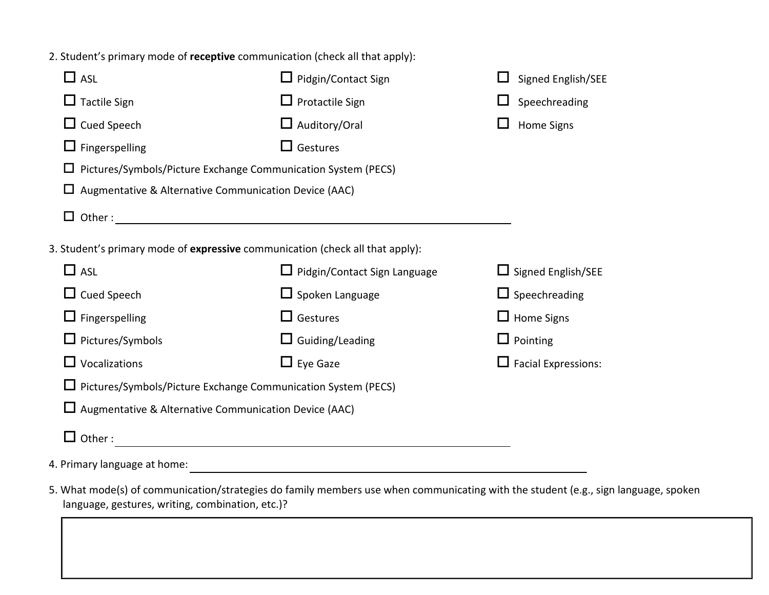2. Student's primary mode of **receptive** communication (check all that apply):

| $\square$ asl                                                      | $\Box$ Pidgin/Contact Sign                                                    | Signed English/SEE         |  |  |  |
|--------------------------------------------------------------------|-------------------------------------------------------------------------------|----------------------------|--|--|--|
| $\Box$ Tactile Sign                                                | $\Box$ Protactile Sign                                                        | Speechreading              |  |  |  |
| $\Box$ Cued Speech                                                 | $\Box$ Auditory/Oral                                                          | <b>Home Signs</b>          |  |  |  |
| $\Box$ Fingerspelling                                              | $\Box$ Gestures                                                               |                            |  |  |  |
| Pictures/Symbols/Picture Exchange Communication System (PECS)<br>ப |                                                                               |                            |  |  |  |
| Augmentative & Alternative Communication Device (AAC)              |                                                                               |                            |  |  |  |
|                                                                    |                                                                               |                            |  |  |  |
|                                                                    | 3. Student's primary mode of expressive communication (check all that apply): |                            |  |  |  |
| $\Box$ ASL                                                         | $\Box$ Pidgin/Contact Sign Language                                           | $\Box$ Signed English/SEE  |  |  |  |
| $\Box$ Cued Speech                                                 | $\Box$ Spoken Language                                                        | $\Box$ Speechreading       |  |  |  |
| $\Box$ Fingerspelling                                              | $\Box$ Gestures                                                               | $\Box$ Home Signs          |  |  |  |
| $\Box$ Pictures/Symbols                                            | $\Box$ Guiding/Leading                                                        | $\Box$ Pointing            |  |  |  |
| $\Box$ Vocalizations                                               | $\Box$ Eye Gaze                                                               | $\Box$ Facial Expressions: |  |  |  |
| □ Pictures/Symbols/Picture Exchange Communication System (PECS)    |                                                                               |                            |  |  |  |
| $\Box$ Augmentative & Alternative Communication Device (AAC)       |                                                                               |                            |  |  |  |
| Other:                                                             |                                                                               |                            |  |  |  |
|                                                                    |                                                                               |                            |  |  |  |

4. Primary language at home:

5. What mode(s) of communication/strategies do family members use when communicating with the student (e.g., sign language, spoken language, gestures, writing, combination, etc.)?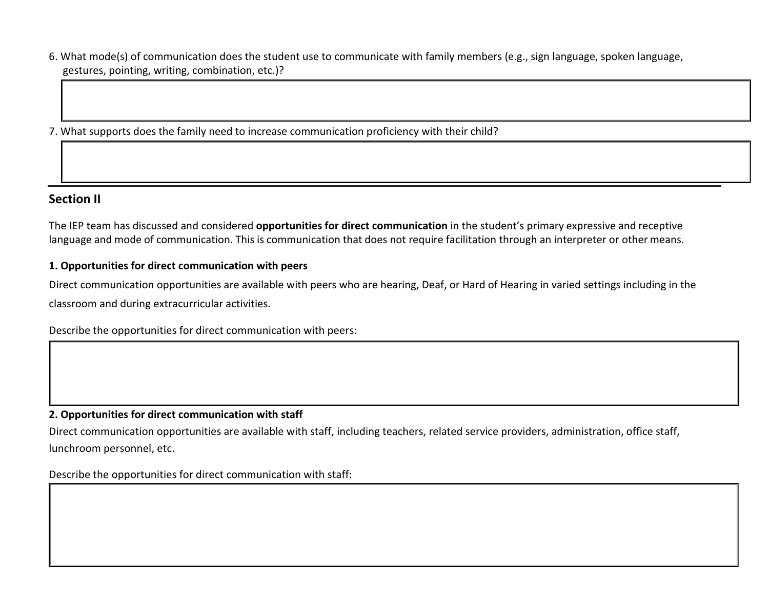6. What mode(s) of communication does the student use to communicate with family members (e.g., sign language, spoken language, gestures, pointing, writing, combination, etc.)?

7. What supports does the family need to increase communication proficiency with their child?

### **Section II**

The IEP team has discussed and considered **opportunities for direct communication** in the student's primary expressive and receptive language and mode of communication. This is communication that does not require facilitation through an interpreter or other means.

#### **1. Opportunities for direct communication with peers**

Direct communication opportunities are available with peers who are hearing, Deaf, or Hard of Hearing in varied settings including in the classroom and during extracurricular activities.

Describe the opportunities for direct communication with peers:

#### **2. Opportunities for direct communication with staff**

Direct communication opportunities are available with staff, including teachers, related service providers, administration, office staff, lunchroom personnel, etc.

Describe the opportunities for direct communication with staff: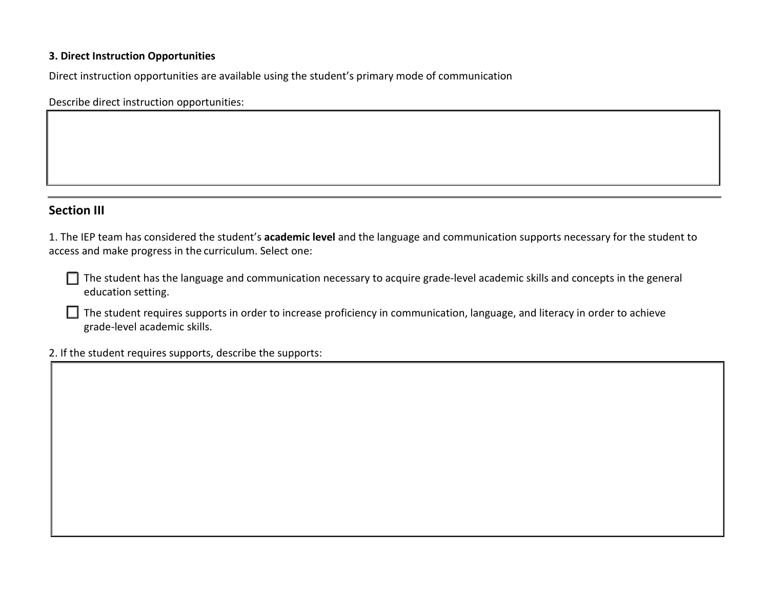#### **3. Direct Instruction Opportunities**

Direct instruction opportunities are available using the student's primary mode of communication

Describe direct instruction opportunities:

### **Section III**

1. The IEP team has considered the student's **academic level** and the language and communication supports necessary for the student to access and make progress in the curriculum. Select one:

 $\Box$  The student has the language and communication necessary to acquire grade-level academic skills and concepts in the general education setting.

The student requires supports in order to increase proficiency in communication, language, and literacy in order to achieve grade-level academic skills.

2. If the student requires supports, describe the supports: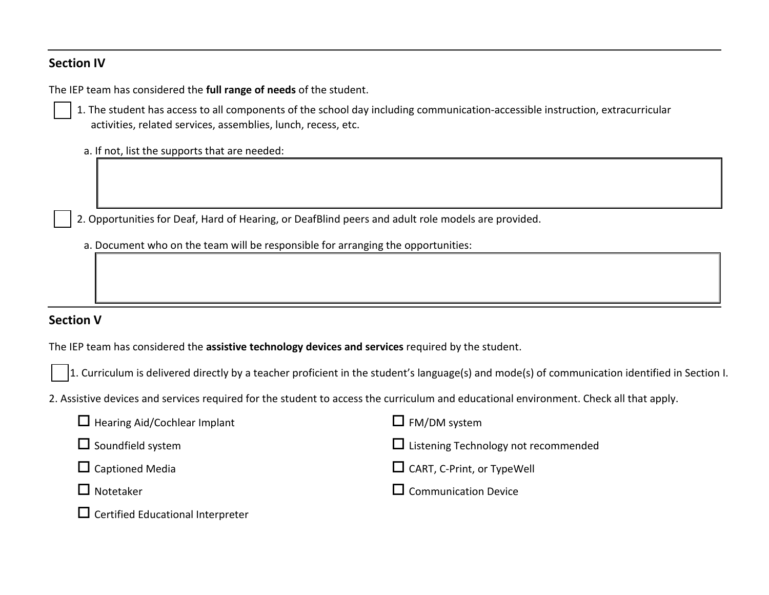### **Section IV**

The IEP team has considered the **full range of needs** of the student.



1. The student has access to all components of the school day including communication-accessible instruction, extracurricular activities, related services, assemblies, lunch, recess, etc.

- a. If not, list the supports that are needed:
- 2. Opportunities for Deaf, Hard of Hearing, or DeafBlind peers and adult role models are provided.
- a. Document who on the team will be responsible for arranging the opportunities:

## **Section V**

The IEP team has considered the **assistive technology devices and services** required by the student.

1. Curriculum is delivered directly by a teacher proficient in the student's language(s) and mode(s) of communication identified in Section I.

2. Assistive devices and services required for the student to access the curriculum and educational environment. Check all that apply.

| $\Box$ Hearing Aid/Cochlear Implant      | $\Box$ FM/DM system                         |
|------------------------------------------|---------------------------------------------|
| $\Box$ Soundfield system                 | $\Box$ Listening Technology not recommended |
| $\Box$ Captioned Media                   | $\Box$ CART, C-Print, or TypeWell           |
| $\Box$ Notetaker                         | $\Box$ Communication Device                 |
| $\Box$ Certified Educational Interpreter |                                             |